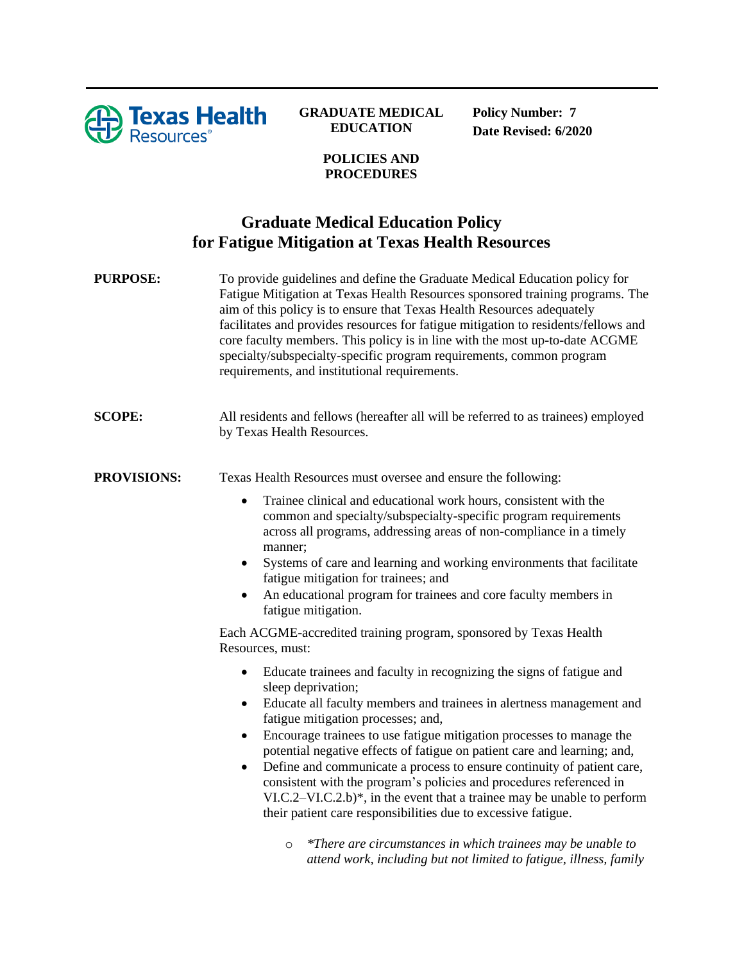

## **GRADUATE MEDICAL EDUCATION**

**Policy Number: 7 Date Revised: 6/2020**

## **POLICIES AND PROCEDURES**

## **Graduate Medical Education Policy for Fatigue Mitigation at Texas Health Resources**

| <b>PURPOSE:</b>    | To provide guidelines and define the Graduate Medical Education policy for<br>Fatigue Mitigation at Texas Health Resources sponsored training programs. The<br>aim of this policy is to ensure that Texas Health Resources adequately<br>facilitates and provides resources for fatigue mitigation to residents/fellows and<br>core faculty members. This policy is in line with the most up-to-date ACGME<br>specialty/subspecialty-specific program requirements, common program<br>requirements, and institutional requirements.                                                                                                                                                                                                                                                                                                                      |
|--------------------|----------------------------------------------------------------------------------------------------------------------------------------------------------------------------------------------------------------------------------------------------------------------------------------------------------------------------------------------------------------------------------------------------------------------------------------------------------------------------------------------------------------------------------------------------------------------------------------------------------------------------------------------------------------------------------------------------------------------------------------------------------------------------------------------------------------------------------------------------------|
| <b>SCOPE:</b>      | All residents and fellows (hereafter all will be referred to as trainees) employed<br>by Texas Health Resources.                                                                                                                                                                                                                                                                                                                                                                                                                                                                                                                                                                                                                                                                                                                                         |
| <b>PROVISIONS:</b> | Texas Health Resources must oversee and ensure the following:                                                                                                                                                                                                                                                                                                                                                                                                                                                                                                                                                                                                                                                                                                                                                                                            |
|                    | Trainee clinical and educational work hours, consistent with the<br>$\bullet$<br>common and specialty/subspecialty-specific program requirements<br>across all programs, addressing areas of non-compliance in a timely<br>manner;<br>Systems of care and learning and working environments that facilitate<br>٠<br>fatigue mitigation for trainees; and<br>An educational program for trainees and core faculty members in<br>fatigue mitigation.<br>Each ACGME-accredited training program, sponsored by Texas Health<br>Resources, must:                                                                                                                                                                                                                                                                                                              |
|                    | Educate trainees and faculty in recognizing the signs of fatigue and<br>$\bullet$<br>sleep deprivation;<br>Educate all faculty members and trainees in alertness management and<br>$\bullet$<br>fatigue mitigation processes; and,<br>Encourage trainees to use fatigue mitigation processes to manage the<br>$\bullet$<br>potential negative effects of fatigue on patient care and learning; and,<br>Define and communicate a process to ensure continuity of patient care,<br>٠<br>consistent with the program's policies and procedures referenced in<br>$VI.C.2-VI.C.2.b)*$ , in the event that a trainee may be unable to perform<br>their patient care responsibilities due to excessive fatigue.<br>*There are circumstances in which trainees may be unable to<br>$\circ$<br>attend work, including but not limited to fatigue, illness, family |